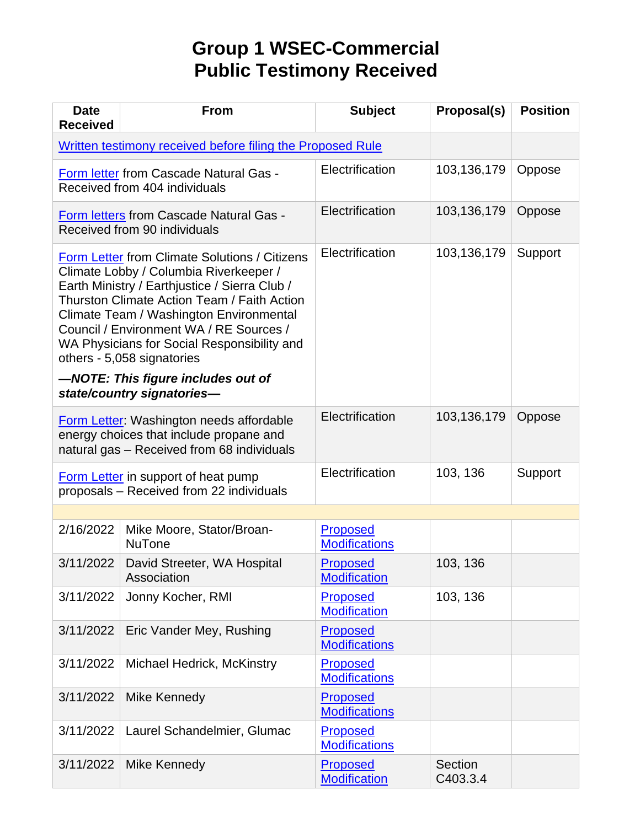## **Group 1 WSEC-Commercial Public Testimony Received**

| <b>Date</b><br><b>Received</b>                                                                                                                                                                                                                                                                                                                             | <b>From</b>                                                                            | <b>Subject</b>                          | Proposal(s)                | <b>Position</b> |
|------------------------------------------------------------------------------------------------------------------------------------------------------------------------------------------------------------------------------------------------------------------------------------------------------------------------------------------------------------|----------------------------------------------------------------------------------------|-----------------------------------------|----------------------------|-----------------|
|                                                                                                                                                                                                                                                                                                                                                            | Written testimony received before filing the Proposed Rule                             |                                         |                            |                 |
|                                                                                                                                                                                                                                                                                                                                                            | Form letter from Cascade Natural Gas -<br>Received from 404 individuals                | Electrification                         | 103,136,179                | Oppose          |
|                                                                                                                                                                                                                                                                                                                                                            | Form letters from Cascade Natural Gas -<br>Received from 90 individuals                | Electrification                         | 103,136,179                | Oppose          |
| Form Letter from Climate Solutions / Citizens<br>Climate Lobby / Columbia Riverkeeper /<br>Earth Ministry / Earthjustice / Sierra Club /<br>Thurston Climate Action Team / Faith Action<br>Climate Team / Washington Environmental<br>Council / Environment WA / RE Sources /<br>WA Physicians for Social Responsibility and<br>others - 5,058 signatories |                                                                                        | Electrification                         | 103,136,179                | Support         |
|                                                                                                                                                                                                                                                                                                                                                            | -NOTE: This figure includes out of<br>state/country signatories-                       |                                         |                            |                 |
| <b>Form Letter:</b> Washington needs affordable<br>energy choices that include propane and<br>natural gas - Received from 68 individuals                                                                                                                                                                                                                   |                                                                                        | Electrification                         | 103,136,179                | Oppose          |
|                                                                                                                                                                                                                                                                                                                                                            | <b>Form Letter</b> in support of heat pump<br>proposals - Received from 22 individuals | Electrification                         | 103, 136                   | Support         |
|                                                                                                                                                                                                                                                                                                                                                            |                                                                                        |                                         |                            |                 |
| 2/16/2022                                                                                                                                                                                                                                                                                                                                                  | Mike Moore, Stator/Broan-<br><b>NuTone</b>                                             | <b>Proposed</b><br><b>Modifications</b> |                            |                 |
| 3/11/2022                                                                                                                                                                                                                                                                                                                                                  | David Streeter, WA Hospital<br>Association                                             | Proposed<br><b>Modification</b>         | 103, 136                   |                 |
| 3/11/2022                                                                                                                                                                                                                                                                                                                                                  | Jonny Kocher, RMI                                                                      | Proposed<br><b>Modification</b>         | 103, 136                   |                 |
| 3/11/2022                                                                                                                                                                                                                                                                                                                                                  | Eric Vander Mey, Rushing                                                               | <b>Proposed</b><br><b>Modifications</b> |                            |                 |
| 3/11/2022                                                                                                                                                                                                                                                                                                                                                  | Michael Hedrick, McKinstry                                                             | Proposed<br><b>Modifications</b>        |                            |                 |
| 3/11/2022                                                                                                                                                                                                                                                                                                                                                  | Mike Kennedy                                                                           | <b>Proposed</b><br><b>Modifications</b> |                            |                 |
| 3/11/2022                                                                                                                                                                                                                                                                                                                                                  | Laurel Schandelmier, Glumac                                                            | <b>Proposed</b><br><b>Modifications</b> |                            |                 |
| 3/11/2022                                                                                                                                                                                                                                                                                                                                                  | Mike Kennedy                                                                           | <b>Proposed</b><br><b>Modification</b>  | <b>Section</b><br>C403.3.4 |                 |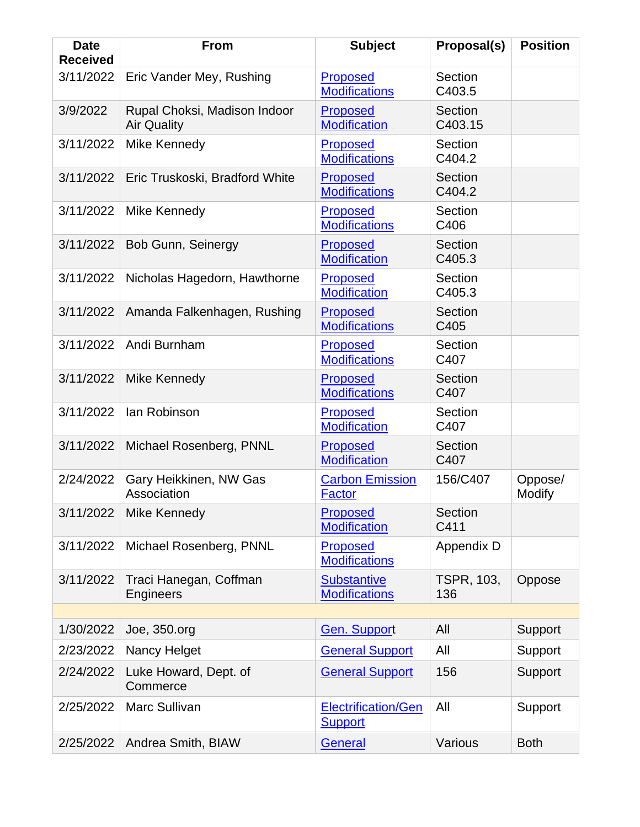| <b>Date</b><br><b>Received</b> | <b>From</b>                                        | <b>Subject</b>                               | Proposal(s)              | <b>Position</b>   |
|--------------------------------|----------------------------------------------------|----------------------------------------------|--------------------------|-------------------|
| 3/11/2022                      | Eric Vander Mey, Rushing                           | Proposed<br><b>Modifications</b>             | Section<br>C403.5        |                   |
| 3/9/2022                       | Rupal Choksi, Madison Indoor<br><b>Air Quality</b> | <b>Proposed</b><br><b>Modification</b>       | Section<br>C403.15       |                   |
| 3/11/2022                      | Mike Kennedy                                       | <b>Proposed</b><br><b>Modifications</b>      | Section<br>C404.2        |                   |
| 3/11/2022                      | Eric Truskoski, Bradford White                     | <b>Proposed</b><br><b>Modifications</b>      | <b>Section</b><br>C404.2 |                   |
| 3/11/2022                      | Mike Kennedy                                       | <b>Proposed</b><br><b>Modifications</b>      | Section<br>C406          |                   |
| 3/11/2022                      | Bob Gunn, Seinergy                                 | <b>Proposed</b><br><b>Modification</b>       | Section<br>C405.3        |                   |
| 3/11/2022                      | Nicholas Hagedorn, Hawthorne                       | <b>Proposed</b><br><b>Modification</b>       | Section<br>C405.3        |                   |
| 3/11/2022                      | Amanda Falkenhagen, Rushing                        | <b>Proposed</b><br><b>Modifications</b>      | Section<br>C405          |                   |
| 3/11/2022                      | Andi Burnham                                       | <b>Proposed</b><br><b>Modifications</b>      | Section<br>C407          |                   |
| 3/11/2022                      | Mike Kennedy                                       | Proposed<br><b>Modifications</b>             | <b>Section</b><br>C407   |                   |
| 3/11/2022                      | lan Robinson                                       | Proposed<br><b>Modification</b>              | Section<br>C407          |                   |
| 3/11/2022                      | Michael Rosenberg, PNNL                            | Proposed<br><b>Modification</b>              | Section<br>C407          |                   |
| 2/24/2022                      | Gary Heikkinen, NW Gas<br>Association              | <b>Carbon Emission</b><br><b>Factor</b>      | 156/C407                 | Oppose/<br>Modify |
| 3/11/2022                      | Mike Kennedy                                       | <b>Proposed</b><br><b>Modification</b>       | <b>Section</b><br>C411   |                   |
| 3/11/2022                      | Michael Rosenberg, PNNL                            | <b>Proposed</b><br><b>Modifications</b>      | Appendix D               |                   |
| 3/11/2022                      | Traci Hanegan, Coffman<br>Engineers                | <b>Substantive</b><br><b>Modifications</b>   | <b>TSPR, 103,</b><br>136 | Oppose            |
|                                |                                                    |                                              |                          |                   |
| 1/30/2022                      | Joe, 350.org                                       | <b>Gen. Support</b>                          | All                      | Support           |
| 2/23/2022                      | Nancy Helget                                       | <b>General Support</b>                       | All                      | Support           |
| 2/24/2022                      | Luke Howard, Dept. of<br>Commerce                  | <b>General Support</b>                       | 156                      | Support           |
| 2/25/2022                      | Marc Sullivan                                      | <b>Electrification/Gen</b><br><b>Support</b> | All                      | Support           |
| 2/25/2022                      | Andrea Smith, BIAW                                 | <b>General</b>                               | Various                  | <b>Both</b>       |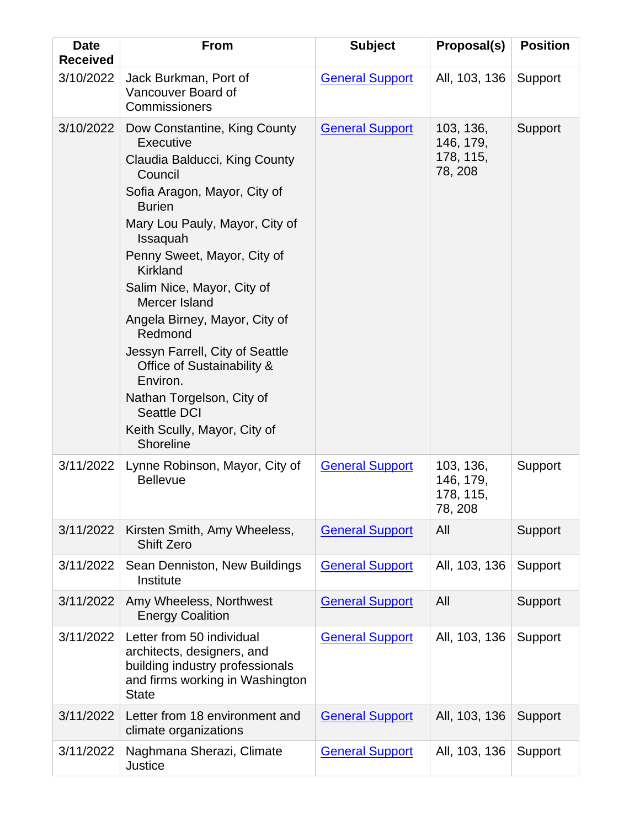| <b>Date</b><br><b>Received</b> | <b>From</b>                                                                                                                                                                                                                                                                                                                                                                                                                                                                                                           | <b>Subject</b>         | Proposal(s)                                    | <b>Position</b> |
|--------------------------------|-----------------------------------------------------------------------------------------------------------------------------------------------------------------------------------------------------------------------------------------------------------------------------------------------------------------------------------------------------------------------------------------------------------------------------------------------------------------------------------------------------------------------|------------------------|------------------------------------------------|-----------------|
| 3/10/2022                      | Jack Burkman, Port of<br>Vancouver Board of<br>Commissioners                                                                                                                                                                                                                                                                                                                                                                                                                                                          | <b>General Support</b> | All, 103, 136                                  | Support         |
| 3/10/2022                      | Dow Constantine, King County<br><b>Executive</b><br>Claudia Balducci, King County<br>Council<br>Sofia Aragon, Mayor, City of<br><b>Burien</b><br>Mary Lou Pauly, Mayor, City of<br>Issaquah<br>Penny Sweet, Mayor, City of<br><b>Kirkland</b><br>Salim Nice, Mayor, City of<br>Mercer Island<br>Angela Birney, Mayor, City of<br>Redmond<br>Jessyn Farrell, City of Seattle<br>Office of Sustainability &<br>Environ.<br>Nathan Torgelson, City of<br><b>Seattle DCI</b><br>Keith Scully, Mayor, City of<br>Shoreline | <b>General Support</b> | 103, 136,<br>146, 179,<br>178, 115,<br>78, 208 | Support         |
| 3/11/2022                      | Lynne Robinson, Mayor, City of<br><b>Bellevue</b>                                                                                                                                                                                                                                                                                                                                                                                                                                                                     | <b>General Support</b> | 103, 136,<br>146, 179,<br>178, 115,<br>78, 208 | Support         |
| 3/11/2022                      | Kirsten Smith, Amy Wheeless,<br><b>Shift Zero</b>                                                                                                                                                                                                                                                                                                                                                                                                                                                                     | <b>General Support</b> | All                                            | Support         |
| 3/11/2022                      | Sean Denniston, New Buildings<br>Institute                                                                                                                                                                                                                                                                                                                                                                                                                                                                            | <b>General Support</b> | All, 103, 136                                  | Support         |
| 3/11/2022                      | Amy Wheeless, Northwest<br><b>Energy Coalition</b>                                                                                                                                                                                                                                                                                                                                                                                                                                                                    | <b>General Support</b> | All                                            | Support         |
| 3/11/2022                      | Letter from 50 individual<br>architects, designers, and<br>building industry professionals<br>and firms working in Washington<br><b>State</b>                                                                                                                                                                                                                                                                                                                                                                         | <b>General Support</b> | All, 103, 136                                  | Support         |
| 3/11/2022                      | Letter from 18 environment and<br>climate organizations                                                                                                                                                                                                                                                                                                                                                                                                                                                               | <b>General Support</b> | All, 103, 136                                  | Support         |
| 3/11/2022                      | Naghmana Sherazi, Climate<br>Justice                                                                                                                                                                                                                                                                                                                                                                                                                                                                                  | <b>General Support</b> | All, 103, 136                                  | Support         |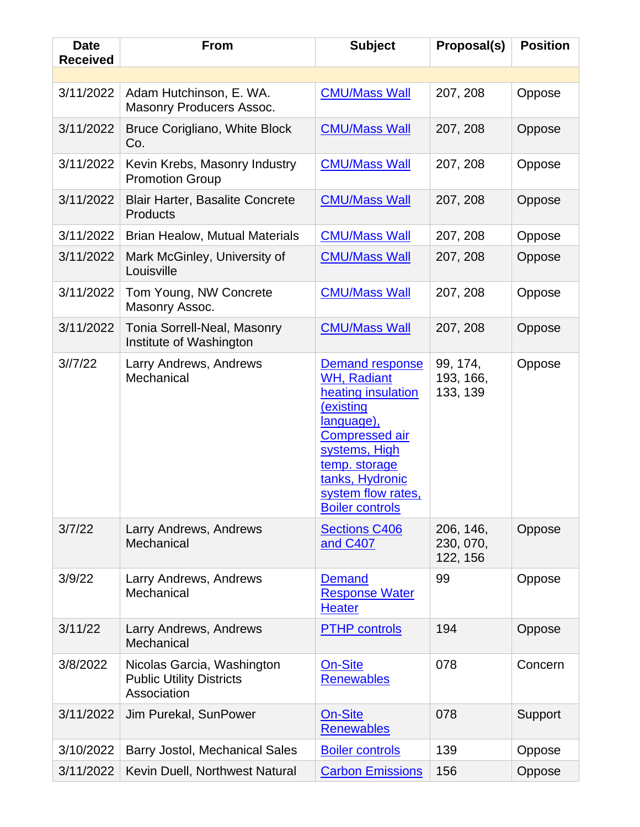| <b>Date</b><br><b>Received</b> | <b>From</b>                                                                  | <b>Subject</b>                                                                                                                                                                                                       | Proposal(s)                        | <b>Position</b> |
|--------------------------------|------------------------------------------------------------------------------|----------------------------------------------------------------------------------------------------------------------------------------------------------------------------------------------------------------------|------------------------------------|-----------------|
|                                |                                                                              |                                                                                                                                                                                                                      |                                    |                 |
| 3/11/2022                      | Adam Hutchinson, E. WA.<br>Masonry Producers Assoc.                          | <b>CMU/Mass Wall</b>                                                                                                                                                                                                 | 207, 208                           | Oppose          |
| 3/11/2022                      | Bruce Corigliano, White Block<br>Co.                                         | <b>CMU/Mass Wall</b>                                                                                                                                                                                                 | 207, 208                           | Oppose          |
| 3/11/2022                      | Kevin Krebs, Masonry Industry<br><b>Promotion Group</b>                      | <b>CMU/Mass Wall</b>                                                                                                                                                                                                 | 207, 208                           | Oppose          |
| 3/11/2022                      | <b>Blair Harter, Basalite Concrete</b><br><b>Products</b>                    | <b>CMU/Mass Wall</b>                                                                                                                                                                                                 | 207, 208                           | Oppose          |
| 3/11/2022                      | <b>Brian Healow, Mutual Materials</b>                                        | <b>CMU/Mass Wall</b>                                                                                                                                                                                                 | 207, 208                           | Oppose          |
| 3/11/2022                      | Mark McGinley, University of<br>Louisville                                   | <b>CMU/Mass Wall</b>                                                                                                                                                                                                 | 207, 208                           | Oppose          |
| 3/11/2022                      | Tom Young, NW Concrete<br>Masonry Assoc.                                     | <b>CMU/Mass Wall</b>                                                                                                                                                                                                 | 207, 208                           | Oppose          |
| 3/11/2022                      | Tonia Sorrell-Neal, Masonry<br>Institute of Washington                       | <b>CMU/Mass Wall</b>                                                                                                                                                                                                 | 207, 208                           | Oppose          |
| 3/7/22                         | Larry Andrews, Andrews<br>Mechanical                                         | Demand response<br><b>WH, Radiant</b><br>heating insulation<br>(existing<br>language),<br><b>Compressed air</b><br>systems, High<br>temp. storage<br>tanks, Hydronic<br>system flow rates,<br><b>Boiler controls</b> | 99, 174,<br>193, 166,<br>133, 139  | Oppose          |
| 3/7/22                         | Larry Andrews, Andrews<br>Mechanical                                         | <b>Sections C406</b><br>and C407                                                                                                                                                                                     | 206, 146,<br>230, 070,<br>122, 156 | Oppose          |
| 3/9/22                         | Larry Andrews, Andrews<br>Mechanical                                         | <b>Demand</b><br><b>Response Water</b><br><b>Heater</b>                                                                                                                                                              | 99                                 | Oppose          |
| 3/11/22                        | Larry Andrews, Andrews<br>Mechanical                                         | <b>PTHP controls</b>                                                                                                                                                                                                 | 194                                | Oppose          |
| 3/8/2022                       | Nicolas Garcia, Washington<br><b>Public Utility Districts</b><br>Association | <b>On-Site</b><br><b>Renewables</b>                                                                                                                                                                                  | 078                                | Concern         |
| 3/11/2022                      | Jim Purekal, SunPower                                                        | <b>On-Site</b><br><b>Renewables</b>                                                                                                                                                                                  | 078                                | Support         |
| 3/10/2022                      | <b>Barry Jostol, Mechanical Sales</b>                                        | <b>Boiler controls</b>                                                                                                                                                                                               | 139                                | Oppose          |
| 3/11/2022                      | Kevin Duell, Northwest Natural                                               | <b>Carbon Emissions</b>                                                                                                                                                                                              | 156                                | Oppose          |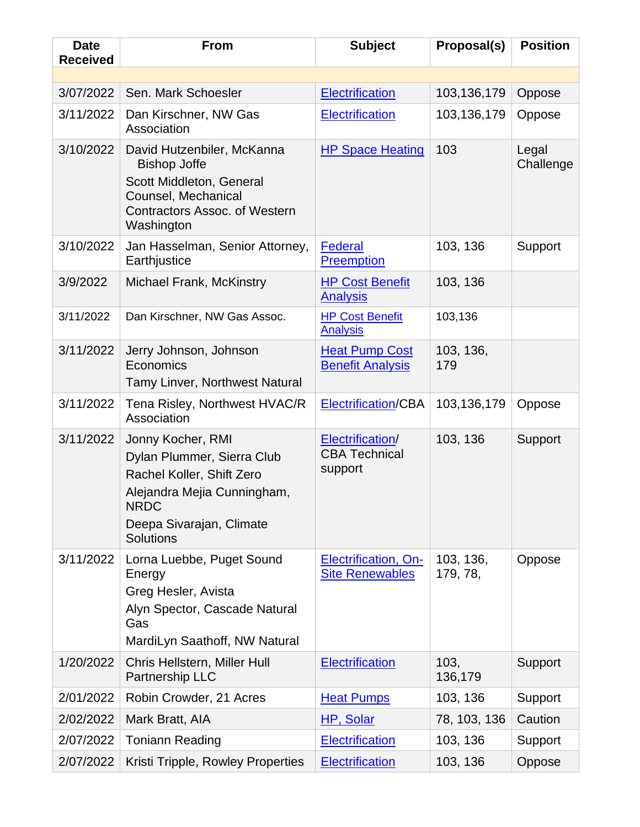| <b>Date</b><br><b>Received</b> | <b>From</b>                                                                                                                                                                | <b>Subject</b>                                        | Proposal(s)           | <b>Position</b>    |
|--------------------------------|----------------------------------------------------------------------------------------------------------------------------------------------------------------------------|-------------------------------------------------------|-----------------------|--------------------|
|                                |                                                                                                                                                                            |                                                       |                       |                    |
| 3/07/2022                      | Sen. Mark Schoesler                                                                                                                                                        | <b>Electrification</b>                                | 103,136,179           | Oppose             |
| 3/11/2022                      | Dan Kirschner, NW Gas<br>Association                                                                                                                                       | Electrification                                       | 103,136,179           | Oppose             |
| 3/10/2022                      | David Hutzenbiler, McKanna<br><b>Bishop Joffe</b><br>Scott Middleton, General<br>Counsel, Mechanical<br><b>Contractors Assoc. of Western</b><br>Washington                 | <b>HP Space Heating</b>                               | 103                   | Legal<br>Challenge |
| 3/10/2022                      | Jan Hasselman, Senior Attorney,<br>Earthjustice                                                                                                                            | Federal<br><b>Preemption</b>                          | 103, 136              | Support            |
| 3/9/2022                       | Michael Frank, McKinstry                                                                                                                                                   | <b>HP Cost Benefit</b><br><b>Analysis</b>             | 103, 136              |                    |
| 3/11/2022                      | Dan Kirschner, NW Gas Assoc.                                                                                                                                               | <b>HP Cost Benefit</b><br><b>Analysis</b>             | 103,136               |                    |
| 3/11/2022                      | Jerry Johnson, Johnson<br>Economics<br><b>Tamy Linver, Northwest Natural</b>                                                                                               | <b>Heat Pump Cost</b><br><b>Benefit Analysis</b>      | 103, 136,<br>179      |                    |
| 3/11/2022                      | Tena Risley, Northwest HVAC/R<br>Association                                                                                                                               | <b>Electrification/CBA</b>                            | 103,136,179           | Oppose             |
| 3/11/2022                      | Jonny Kocher, RMI<br>Dylan Plummer, Sierra Club<br>Rachel Koller, Shift Zero<br>Alejandra Mejia Cunningham,<br><b>NRDC</b><br>Deepa Sivarajan, Climate<br><b>Solutions</b> | Electrification/<br><b>CBA Technical</b><br>support   | 103, 136              | Support            |
| 3/11/2022                      | Lorna Luebbe, Puget Sound<br>Energy<br>Greg Hesler, Avista<br>Alyn Spector, Cascade Natural<br>Gas<br>MardiLyn Saathoff, NW Natural                                        | <b>Electrification, On-</b><br><b>Site Renewables</b> | 103, 136,<br>179, 78, | Oppose             |
| 1/20/2022                      | Chris Hellstern, Miller Hull<br><b>Partnership LLC</b>                                                                                                                     | <b>Electrification</b>                                | 103,<br>136,179       | Support            |
| 2/01/2022                      | Robin Crowder, 21 Acres                                                                                                                                                    | <b>Heat Pumps</b>                                     | 103, 136              | Support            |
| 2/02/2022                      | Mark Bratt, AIA                                                                                                                                                            | HP, Solar                                             | 78, 103, 136          | Caution            |
| 2/07/2022                      | <b>Toniann Reading</b>                                                                                                                                                     | <b>Electrification</b>                                | 103, 136              | Support            |
| 2/07/2022                      | Kristi Tripple, Rowley Properties                                                                                                                                          | <b>Electrification</b>                                | 103, 136              | Oppose             |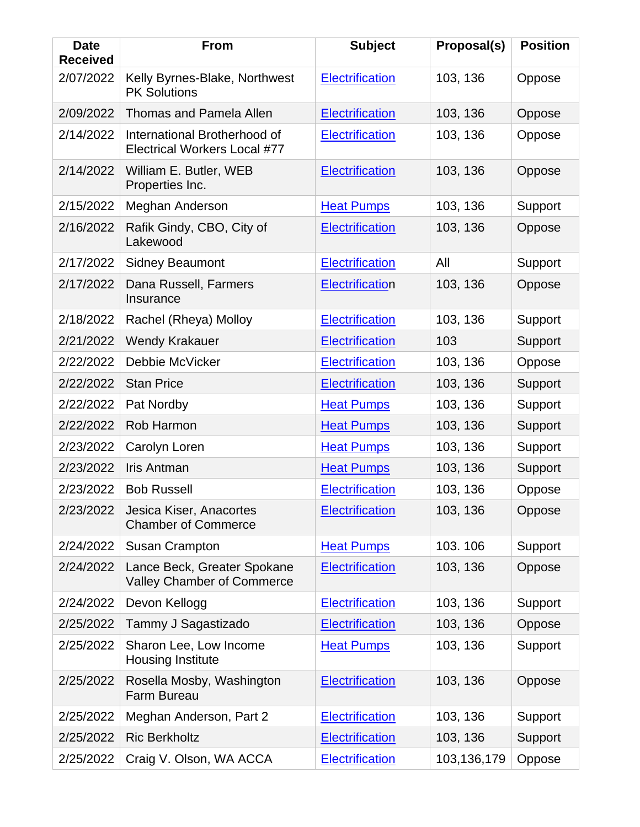| <b>Date</b><br><b>Received</b> | <b>From</b>                                                         | <b>Subject</b>         | Proposal(s) | <b>Position</b> |
|--------------------------------|---------------------------------------------------------------------|------------------------|-------------|-----------------|
| 2/07/2022                      | Kelly Byrnes-Blake, Northwest<br><b>PK Solutions</b>                | <b>Electrification</b> | 103, 136    | Oppose          |
| 2/09/2022                      | <b>Thomas and Pamela Allen</b>                                      | <b>Electrification</b> | 103, 136    | Oppose          |
| 2/14/2022                      | International Brotherhood of<br><b>Electrical Workers Local #77</b> | <b>Electrification</b> | 103, 136    | Oppose          |
| 2/14/2022                      | William E. Butler, WEB<br>Properties Inc.                           | <b>Electrification</b> | 103, 136    | Oppose          |
| 2/15/2022                      | Meghan Anderson                                                     | <b>Heat Pumps</b>      | 103, 136    | Support         |
| 2/16/2022                      | Rafik Gindy, CBO, City of<br>Lakewood                               | <b>Electrification</b> | 103, 136    | Oppose          |
| 2/17/2022                      | <b>Sidney Beaumont</b>                                              | <b>Electrification</b> | All         | Support         |
| 2/17/2022                      | Dana Russell, Farmers<br>Insurance                                  | <b>Electrification</b> | 103, 136    | Oppose          |
| 2/18/2022                      | Rachel (Rheya) Molloy                                               | <b>Electrification</b> | 103, 136    | Support         |
| 2/21/2022                      | <b>Wendy Krakauer</b>                                               | <b>Electrification</b> | 103         | Support         |
| 2/22/2022                      | Debbie McVicker                                                     | <b>Electrification</b> | 103, 136    | Oppose          |
| 2/22/2022                      | <b>Stan Price</b>                                                   | <b>Electrification</b> | 103, 136    | Support         |
| 2/22/2022                      | Pat Nordby                                                          | <b>Heat Pumps</b>      | 103, 136    | Support         |
| 2/22/2022                      | Rob Harmon                                                          | <b>Heat Pumps</b>      | 103, 136    | Support         |
| 2/23/2022                      | Carolyn Loren                                                       | <b>Heat Pumps</b>      | 103, 136    | Support         |
| 2/23/2022                      | Iris Antman                                                         | <b>Heat Pumps</b>      | 103, 136    | Support         |
| 2/23/2022                      | <b>Bob Russell</b>                                                  | <b>Electrification</b> | 103, 136    | Oppose          |
| 2/23/2022                      | Jesica Kiser, Anacortes<br><b>Chamber of Commerce</b>               | <b>Electrification</b> | 103, 136    | Oppose          |
| 2/24/2022                      | <b>Susan Crampton</b>                                               | <b>Heat Pumps</b>      | 103.106     | Support         |
| 2/24/2022                      | Lance Beck, Greater Spokane<br><b>Valley Chamber of Commerce</b>    | <b>Electrification</b> | 103, 136    | Oppose          |
| 2/24/2022                      | Devon Kellogg                                                       | <b>Electrification</b> | 103, 136    | Support         |
| 2/25/2022                      | Tammy J Sagastizado                                                 | <b>Electrification</b> | 103, 136    | Oppose          |
| 2/25/2022                      | Sharon Lee, Low Income<br><b>Housing Institute</b>                  | <b>Heat Pumps</b>      | 103, 136    | Support         |
| 2/25/2022                      | Rosella Mosby, Washington<br><b>Farm Bureau</b>                     | <b>Electrification</b> | 103, 136    | Oppose          |
| 2/25/2022                      | Meghan Anderson, Part 2                                             | <b>Electrification</b> | 103, 136    | Support         |
| 2/25/2022                      | <b>Ric Berkholtz</b>                                                | <b>Electrification</b> | 103, 136    | Support         |
| 2/25/2022                      | Craig V. Olson, WA ACCA                                             | <b>Electrification</b> | 103,136,179 | Oppose          |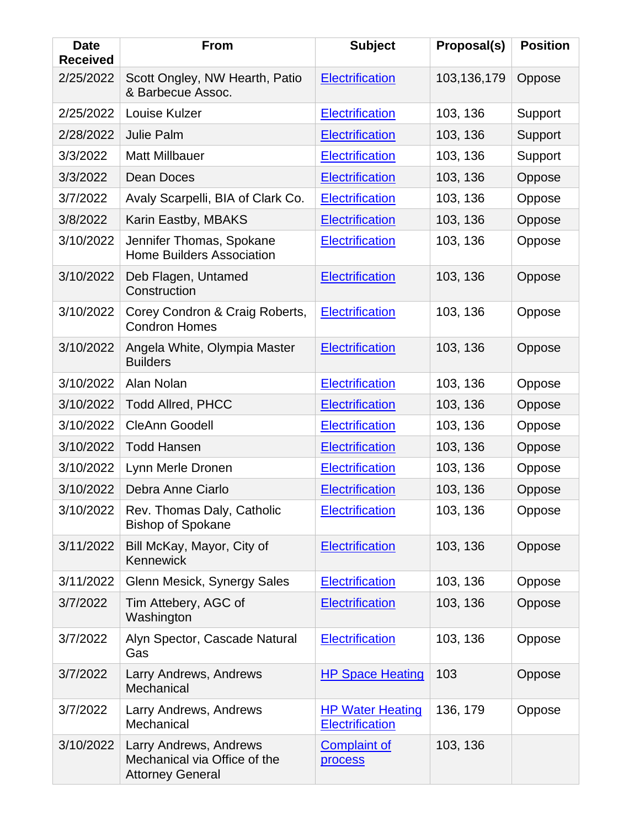| <b>Date</b><br><b>Received</b> | <b>From</b>                                                                       | <b>Subject</b>                                    | Proposal(s) | <b>Position</b> |
|--------------------------------|-----------------------------------------------------------------------------------|---------------------------------------------------|-------------|-----------------|
| 2/25/2022                      | Scott Ongley, NW Hearth, Patio<br>& Barbecue Assoc.                               | <b>Electrification</b>                            | 103,136,179 | Oppose          |
| 2/25/2022                      | Louise Kulzer                                                                     | <b>Electrification</b>                            | 103, 136    | Support         |
| 2/28/2022                      | <b>Julie Palm</b>                                                                 | <b>Electrification</b>                            | 103, 136    | Support         |
| 3/3/2022                       | <b>Matt Millbauer</b>                                                             | <b>Electrification</b>                            | 103, 136    | Support         |
| 3/3/2022                       | Dean Doces                                                                        | Electrification                                   | 103, 136    | Oppose          |
| 3/7/2022                       | Avaly Scarpelli, BIA of Clark Co.                                                 | <b>Electrification</b>                            | 103, 136    | Oppose          |
| 3/8/2022                       | Karin Eastby, MBAKS                                                               | <b>Electrification</b>                            | 103, 136    | Oppose          |
| 3/10/2022                      | Jennifer Thomas, Spokane<br><b>Home Builders Association</b>                      | <b>Electrification</b>                            | 103, 136    | Oppose          |
| 3/10/2022                      | Deb Flagen, Untamed<br>Construction                                               | <b>Electrification</b>                            | 103, 136    | Oppose          |
| 3/10/2022                      | Corey Condron & Craig Roberts,<br><b>Condron Homes</b>                            | <b>Electrification</b>                            | 103, 136    | Oppose          |
| 3/10/2022                      | Angela White, Olympia Master<br><b>Builders</b>                                   | <b>Electrification</b>                            | 103, 136    | Oppose          |
| 3/10/2022                      | Alan Nolan                                                                        | <b>Electrification</b>                            | 103, 136    | Oppose          |
| 3/10/2022                      | <b>Todd Allred, PHCC</b>                                                          | <b>Electrification</b>                            | 103, 136    | Oppose          |
| 3/10/2022                      | <b>CleAnn Goodell</b>                                                             | <b>Electrification</b>                            | 103, 136    | Oppose          |
| 3/10/2022                      | <b>Todd Hansen</b>                                                                | Electrification                                   | 103, 136    | Oppose          |
| 3/10/2022                      | Lynn Merle Dronen                                                                 | <b>Electrification</b>                            | 103, 136    | Oppose          |
| 3/10/2022                      | Debra Anne Ciarlo                                                                 | Electrification                                   | 103, 136    | Oppose          |
| 3/10/2022                      | Rev. Thomas Daly, Catholic<br><b>Bishop of Spokane</b>                            | <b>Electrification</b>                            | 103, 136    | Oppose          |
| 3/11/2022                      | Bill McKay, Mayor, City of<br>Kennewick                                           | <b>Electrification</b>                            | 103, 136    | Oppose          |
| 3/11/2022                      | Glenn Mesick, Synergy Sales                                                       | <b>Electrification</b>                            | 103, 136    | Oppose          |
| 3/7/2022                       | Tim Attebery, AGC of<br>Washington                                                | <b>Electrification</b>                            | 103, 136    | Oppose          |
| 3/7/2022                       | Alyn Spector, Cascade Natural<br>Gas                                              | <b>Electrification</b>                            | 103, 136    | Oppose          |
| 3/7/2022                       | Larry Andrews, Andrews<br>Mechanical                                              | <b>HP Space Heating</b>                           | 103         | Oppose          |
| 3/7/2022                       | Larry Andrews, Andrews<br>Mechanical                                              | <b>HP Water Heating</b><br><b>Electrification</b> | 136, 179    | Oppose          |
| 3/10/2022                      | Larry Andrews, Andrews<br>Mechanical via Office of the<br><b>Attorney General</b> | <b>Complaint of</b><br>process                    | 103, 136    |                 |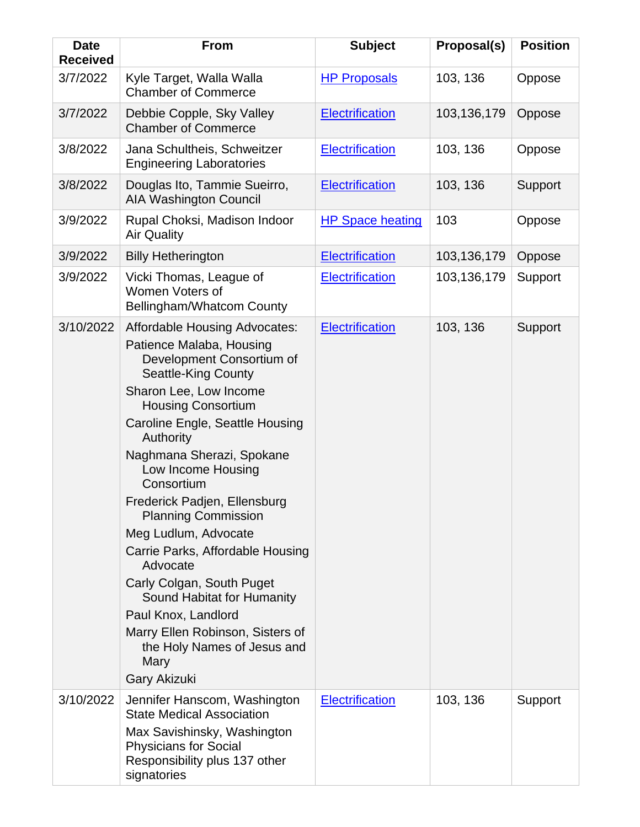| <b>Date</b><br><b>Received</b> | <b>From</b>                                                                                                                                                                                                                                                                                                                                                                                                                                                                                                                                                                                                                   | <b>Subject</b>          | Proposal(s) | <b>Position</b> |
|--------------------------------|-------------------------------------------------------------------------------------------------------------------------------------------------------------------------------------------------------------------------------------------------------------------------------------------------------------------------------------------------------------------------------------------------------------------------------------------------------------------------------------------------------------------------------------------------------------------------------------------------------------------------------|-------------------------|-------------|-----------------|
| 3/7/2022                       | Kyle Target, Walla Walla<br><b>Chamber of Commerce</b>                                                                                                                                                                                                                                                                                                                                                                                                                                                                                                                                                                        | <b>HP Proposals</b>     | 103, 136    | Oppose          |
| 3/7/2022                       | Debbie Copple, Sky Valley<br><b>Chamber of Commerce</b>                                                                                                                                                                                                                                                                                                                                                                                                                                                                                                                                                                       | Electrification         | 103,136,179 | Oppose          |
| 3/8/2022                       | Jana Schultheis, Schweitzer<br><b>Engineering Laboratories</b>                                                                                                                                                                                                                                                                                                                                                                                                                                                                                                                                                                | <b>Electrification</b>  | 103, 136    | Oppose          |
| 3/8/2022                       | Douglas Ito, Tammie Sueirro,<br><b>AIA Washington Council</b>                                                                                                                                                                                                                                                                                                                                                                                                                                                                                                                                                                 | <b>Electrification</b>  | 103, 136    | Support         |
| 3/9/2022                       | Rupal Choksi, Madison Indoor<br><b>Air Quality</b>                                                                                                                                                                                                                                                                                                                                                                                                                                                                                                                                                                            | <b>HP Space heating</b> | 103         | Oppose          |
| 3/9/2022                       | <b>Billy Hetherington</b>                                                                                                                                                                                                                                                                                                                                                                                                                                                                                                                                                                                                     | <b>Electrification</b>  | 103,136,179 | Oppose          |
| 3/9/2022                       | Vicki Thomas, League of<br>Women Voters of<br>Bellingham/Whatcom County                                                                                                                                                                                                                                                                                                                                                                                                                                                                                                                                                       | <b>Electrification</b>  | 103,136,179 | Support         |
| 3/10/2022                      | <b>Affordable Housing Advocates:</b><br>Patience Malaba, Housing<br>Development Consortium of<br><b>Seattle-King County</b><br>Sharon Lee, Low Income<br><b>Housing Consortium</b><br>Caroline Engle, Seattle Housing<br>Authority<br>Naghmana Sherazi, Spokane<br>Low Income Housing<br>Consortium<br>Frederick Padjen, Ellensburg<br><b>Planning Commission</b><br>Meg Ludlum, Advocate<br>Carrie Parks, Affordable Housing<br>Advocate<br>Carly Colgan, South Puget<br>Sound Habitat for Humanity<br>Paul Knox, Landlord<br>Marry Ellen Robinson, Sisters of<br>the Holy Names of Jesus and<br>Mary<br><b>Gary Akizuki</b> | <b>Electrification</b>  | 103, 136    | Support         |
| 3/10/2022                      | Jennifer Hanscom, Washington<br><b>State Medical Association</b><br>Max Savishinsky, Washington<br><b>Physicians for Social</b><br>Responsibility plus 137 other<br>signatories                                                                                                                                                                                                                                                                                                                                                                                                                                               | <b>Electrification</b>  | 103, 136    | Support         |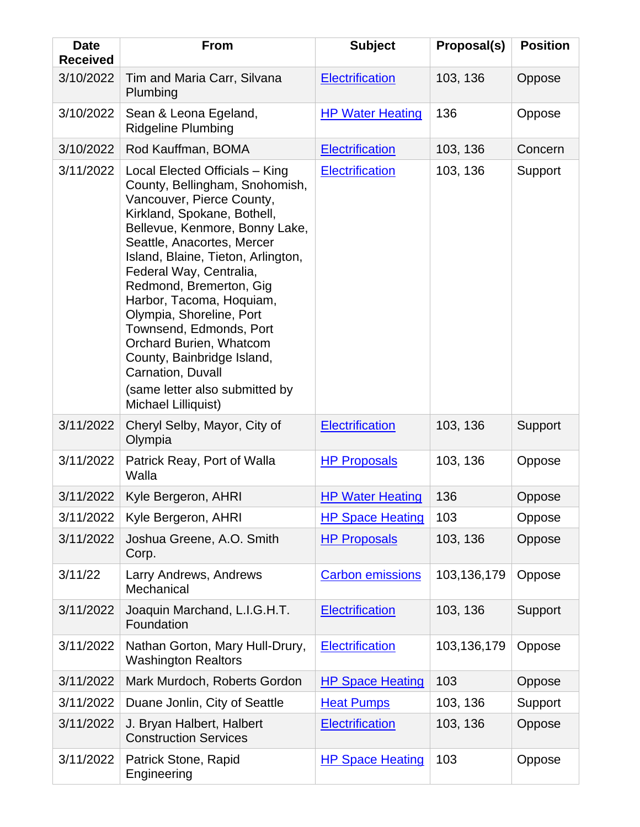| <b>Date</b><br><b>Received</b> | <b>From</b>                                                                                                                                                                                                                                                                                                                                                                                                                                                                                                        | <b>Subject</b>          | Proposal(s) | <b>Position</b> |
|--------------------------------|--------------------------------------------------------------------------------------------------------------------------------------------------------------------------------------------------------------------------------------------------------------------------------------------------------------------------------------------------------------------------------------------------------------------------------------------------------------------------------------------------------------------|-------------------------|-------------|-----------------|
| 3/10/2022                      | Tim and Maria Carr, Silvana<br>Plumbing                                                                                                                                                                                                                                                                                                                                                                                                                                                                            | <b>Electrification</b>  | 103, 136    | Oppose          |
| 3/10/2022                      | Sean & Leona Egeland,<br><b>Ridgeline Plumbing</b>                                                                                                                                                                                                                                                                                                                                                                                                                                                                 | <b>HP Water Heating</b> | 136         | Oppose          |
| 3/10/2022                      | Rod Kauffman, BOMA                                                                                                                                                                                                                                                                                                                                                                                                                                                                                                 | <b>Electrification</b>  | 103, 136    | Concern         |
| 3/11/2022                      | Local Elected Officials - King<br>County, Bellingham, Snohomish,<br>Vancouver, Pierce County,<br>Kirkland, Spokane, Bothell,<br>Bellevue, Kenmore, Bonny Lake,<br>Seattle, Anacortes, Mercer<br>Island, Blaine, Tieton, Arlington,<br>Federal Way, Centralia,<br>Redmond, Bremerton, Gig<br>Harbor, Tacoma, Hoquiam,<br>Olympia, Shoreline, Port<br>Townsend, Edmonds, Port<br>Orchard Burien, Whatcom<br>County, Bainbridge Island,<br>Carnation, Duvall<br>(same letter also submitted by<br>Michael Lilliquist) | <b>Electrification</b>  | 103, 136    | Support         |
| 3/11/2022                      | Cheryl Selby, Mayor, City of<br>Olympia                                                                                                                                                                                                                                                                                                                                                                                                                                                                            | <b>Electrification</b>  | 103, 136    | Support         |
| 3/11/2022                      | Patrick Reay, Port of Walla<br>Walla                                                                                                                                                                                                                                                                                                                                                                                                                                                                               | <b>HP Proposals</b>     | 103, 136    | Oppose          |
| 3/11/2022                      | Kyle Bergeron, AHRI                                                                                                                                                                                                                                                                                                                                                                                                                                                                                                | <b>HP Water Heating</b> | 136         | Oppose          |
| 3/11/2022                      | Kyle Bergeron, AHRI                                                                                                                                                                                                                                                                                                                                                                                                                                                                                                | <b>HP Space Heating</b> | 103         | Oppose          |
| 3/11/2022                      | Joshua Greene, A.O. Smith<br>Corp.                                                                                                                                                                                                                                                                                                                                                                                                                                                                                 | <b>HP Proposals</b>     | 103, 136    | Oppose          |
| 3/11/22                        | Larry Andrews, Andrews<br>Mechanical                                                                                                                                                                                                                                                                                                                                                                                                                                                                               | <b>Carbon emissions</b> | 103,136,179 | Oppose          |
| 3/11/2022                      | Joaquin Marchand, L.I.G.H.T.<br>Foundation                                                                                                                                                                                                                                                                                                                                                                                                                                                                         | Electrification         | 103, 136    | Support         |
| 3/11/2022                      | Nathan Gorton, Mary Hull-Drury,<br><b>Washington Realtors</b>                                                                                                                                                                                                                                                                                                                                                                                                                                                      | <b>Electrification</b>  | 103,136,179 | Oppose          |
| 3/11/2022                      | Mark Murdoch, Roberts Gordon                                                                                                                                                                                                                                                                                                                                                                                                                                                                                       | <b>HP Space Heating</b> | 103         | Oppose          |
| 3/11/2022                      | Duane Jonlin, City of Seattle                                                                                                                                                                                                                                                                                                                                                                                                                                                                                      | <b>Heat Pumps</b>       | 103, 136    | Support         |
| 3/11/2022                      | J. Bryan Halbert, Halbert<br><b>Construction Services</b>                                                                                                                                                                                                                                                                                                                                                                                                                                                          | <b>Electrification</b>  | 103, 136    | Oppose          |
| 3/11/2022                      | Patrick Stone, Rapid<br>Engineering                                                                                                                                                                                                                                                                                                                                                                                                                                                                                | <b>HP Space Heating</b> | 103         | Oppose          |